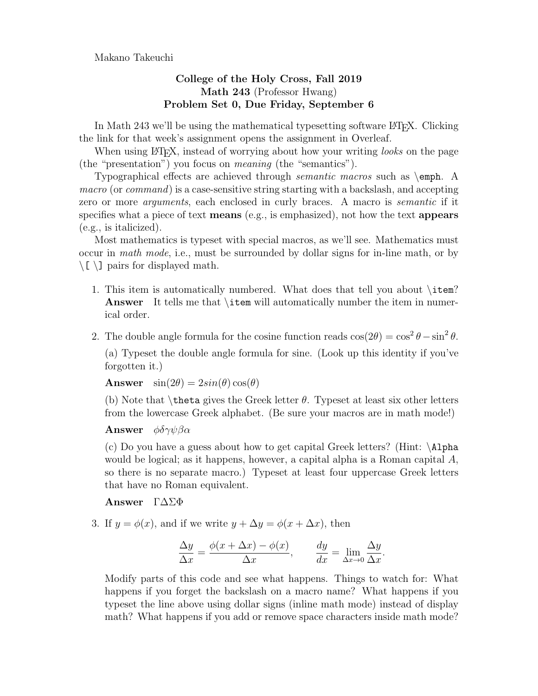Makano Takeuchi

## College of the Holy Cross, Fall 2019 Math 243 (Professor Hwang) Problem Set 0, Due Friday, September 6

In Math 243 we'll be using the mathematical typesetting software L<sup>AT</sup>EX. Clicking the link for that week's assignment opens the assignment in Overleaf.

When using LAT<sub>EX</sub>, instead of worrying about how your writing *looks* on the page (the "presentation") you focus on meaning (the "semantics").

Typographical effects are achieved through semantic macros such as \emph. A macro (or command) is a case-sensitive string starting with a backslash, and accepting zero or more *arguments*, each enclosed in curly braces. A macro is *semantic* if it specifies what a piece of text **means** (e.g., is emphasized), not how the text **appears** (e.g., is italicized).

Most mathematics is typeset with special macros, as we'll see. Mathematics must occur in math mode, i.e., must be surrounded by dollar signs for in-line math, or by  $\setminus$ [ $\setminus$ ] pairs for displayed math.

- 1. This item is automatically numbered. What does that tell you about \item? Answer It tells me that item will automatically number the item in numerical order.
- 2. The double angle formula for the cosine function reads  $\cos(2\theta) = \cos^2 \theta \sin^2 \theta$ .

(a) Typeset the double angle formula for sine. (Look up this identity if you've forgotten it.)

**Answer**  $\sin(2\theta) = 2\sin(\theta)\cos(\theta)$ 

(b) Note that  $theta gives the Greek letter  $\theta$ . Typeset at least six other letters$ from the lowercase Greek alphabet. (Be sure your macros are in math mode!)

**Answer**  $\phi \delta \gamma \psi \beta \alpha$ 

(c) Do you have a guess about how to get capital Greek letters? (Hint: \Alpha would be logical; as it happens, however, a capital alpha is a Roman capital A, so there is no separate macro.) Typeset at least four uppercase Greek letters that have no Roman equivalent.

Answer Γ∆ΣΦ

3. If  $y = \phi(x)$ , and if we write  $y + \Delta y = \phi(x + \Delta x)$ , then

$$
\frac{\Delta y}{\Delta x} = \frac{\phi(x + \Delta x) - \phi(x)}{\Delta x}, \qquad \frac{dy}{dx} = \lim_{\Delta x \to 0} \frac{\Delta y}{\Delta x}.
$$

Modify parts of this code and see what happens. Things to watch for: What happens if you forget the backslash on a macro name? What happens if you typeset the line above using dollar signs (inline math mode) instead of display math? What happens if you add or remove space characters inside math mode?